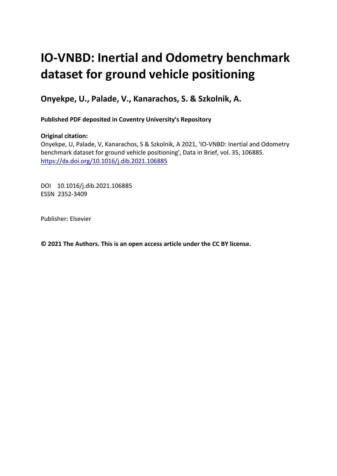# **IO-VNBD: Inertial and Odometry benchmark dataset for ground vehicle positioning**

**Onyekpe, U., Palade, V., Kanarachos, S. & Szkolnik, A.** 

**Published PDF deposited in Coventry University's Repository** 

# **Original citation:**

Onyekpe, U, Palade, V, Kanarachos, S & Szkolnik, A 2021, 'IO-VNBD: Inertial and Odometry benchmark dataset for ground vehicle positioning', Data in Brief, vol. 35, 106885. https://dx.doi.org/10.1016/j.dib.2021.106885

DOI 10.1016/j.dib.2021.106885 ESSN 2352-3409

Publisher: Elsevier

**© 2021 The Authors. This is an open access article under the CC BY license.**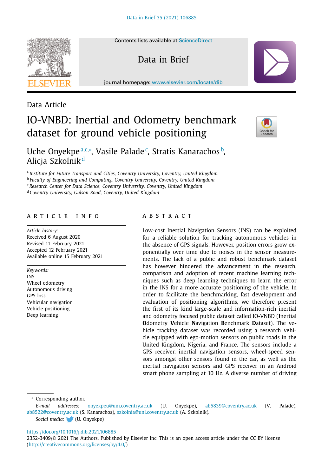Contents lists available at [ScienceDirect](http://www.ScienceDirect.com)

Data in Brief

journal homepage: [www.elsevier.com/locate/dib](http://www.elsevier.com/locate/dib)

# Data Article

# IO-VNBD: Inertial and Odometry benchmark dataset for ground vehicle positioning



Uche Onyekpeª,¢,\*, Vasile Palade¢, Stratis Kanarachos b, Alicia Szkolnik<sup>d</sup>

<sup>a</sup> *Institute for Future Transport and Cities, Coventry University, Coventry, United Kingdom*

<sup>b</sup> *Faculty of Engineering and Computing, Coventry University, Coventry, United Kingdom*

<sup>c</sup> *Research Center for Data Science, Coventry University, Coventry, United Kingdom*

<sup>d</sup> *Coventry University, Gulson Road, Coventry, United Kingdom*

# a r t i c l e i n f o

*Article history:* Received 6 August 2020 Revised 11 February 2021 Accepted 12 February 2021 Available online 15 February 2021

*Keywords:* INS Wheel odometry Autonomous driving GPS loss Vehicular navigation Vehicle positioning Deep learning

# a b s t r a c t

Low-cost Inertial Navigation Sensors (INS) can be exploited for a reliable solution for tracking autonomous vehicles in the absence of GPS signals. However, position errors grow exponentially over time due to noises in the sensor measurements. The lack of a public and robust benchmark dataset has however hindered the advancement in the research, comparison and adoption of recent machine learning techniques such as deep learning techniques to learn the error in the INS for a more accurate positioning of the vehicle. In order to facilitate the benchmarking, fast development and evaluation of positioning algorithms, we therefore present the first of its kind large-scale and information-rich inertial and odometry focused public dataset called IO-VNBD (**I**nertial **O**dometry **V**ehicle **N**avigation **B**enchmark **D**ataset). The vehicle tracking dataset was recorded using a research vehicle equipped with ego-motion sensors on public roads in the United Kingdom, Nigeria, and France. The sensors include a GPS receiver, inertial navigation sensors, wheel-speed sensors amongst other sensors found in the car, as well as the inertial navigation sensors and GPS receiver in an Android smart phone sampling at 10 Hz. A diverse number of driving

<sup>∗</sup> Corresponding author.

*E-mail addresses:* [onyekpeu@uni.coventry.ac.uk](mailto:onyekpeu@uni.coventry.ac.uk) (U. Onyekpe), [ab5839@coventry.ac.uk](mailto:ab5839@coventry.ac.uk) (V. Palade), [ab8522@coventry.ac.uk](mailto:ab8522@coventry.ac.uk) (S. Kanarachos), [szkolnia@uni.coventry.ac.uk](mailto:szkolnia@uni.coventry.ac.uk) (A. Szkolnik). *Social media:* (U. Onyekpe)

# <https://doi.org/10.1016/j.dib.2021.106885>

2352-3409/© 2021 The Authors. Published by Elsevier Inc. This is an open access article under the CC BY license [\(http://creativecommons.org/licenses/by/4.0/\)](http://creativecommons.org/licenses/by/4.0/)

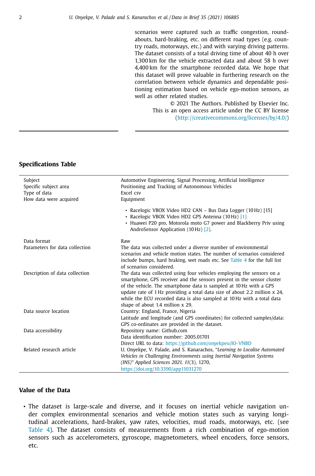scenarios were captured such as traffic congestion, roundabouts, hard-braking, etc. on different road types (e.g. country roads, motorways, etc.) and with varying driving patterns. The dataset consists of a total driving time of about 40 h over 1,300 km for the vehicle extracted data and about 58 h over 4,400 km for the smartphone recorded data. We hope that this dataset will prove valuable in furthering research on the correlation between vehicle dynamics and dependable positioning estimation based on vehicle ego-motion sensors, as well as other related studies.

© 2021 The Authors. Published by Elsevier Inc. This is an open access article under the CC BY license [\(http://creativecommons.org/licenses/by/4.0/\)](http://creativecommons.org/licenses/by/4.0/)

# **Specifications Table**

| Automotive Engineering, Signal Processing, Artificial Intelligence<br>Subject<br>Positioning and Tracking of Autonomous Vehicles<br>Specific subject area<br>Type of data<br>Excel csv<br>How data were acquired<br>Equipment<br>• Racelogic VBOX Video HD2 CAN - Bus Data Logger (10 Hz) [15]<br>• Racelogic VBOX Video HD2 GPS Antenna (10 Hz) [1]<br>• Huawei P20 pro, Motorola moto G7 power and Blackberry Priv using<br>AndroSensor Application (10 Hz) [2].<br>Data format<br>Raw<br>The data was collected under a diverse number of environmental<br>Parameters for data collection<br>scenarios and vehicle motion states. The number of scenarios considered<br>include bumps, hard braking, wet roads etc. See Table 4 for the full list<br>of scenarios considered.<br>Description of data collection<br>The data was collected using four vehicles employing the sensors on a<br>smartphone, GPS receiver and the sensors present in the sensor cluster<br>of the vehicle. The smartphone data is sampled at 10 Hz with a GPS<br>update rate of 1 Hz providing a total data size of about 2.2 million x 24,<br>while the ECU recorded data is also sampled at 10 Hz with a total data<br>shape of about 1.4 million x 29.<br>Data source location<br>Country: England, France, Nigeria<br>Latitude and longitude (and GPS coordinates) for collected samples/data:<br>GPS co-ordinates are provided in the dataset.<br>Repository name: Github.com<br>Data accessibility<br>Data identification number: 2005 01701<br>Direct URL to data: https://github.com/onyekpeu/IO-VNBD<br>Related research article<br>U. Onyekpe, V. Palade, and S. Kanarachos, "Learning to Localise Automated<br>Vehicles in Challenging Environments using Inertial Navigation Systems<br>(INS)" Applied Sciences 2021, 11(3), 1270, |                                     |
|------------------------------------------------------------------------------------------------------------------------------------------------------------------------------------------------------------------------------------------------------------------------------------------------------------------------------------------------------------------------------------------------------------------------------------------------------------------------------------------------------------------------------------------------------------------------------------------------------------------------------------------------------------------------------------------------------------------------------------------------------------------------------------------------------------------------------------------------------------------------------------------------------------------------------------------------------------------------------------------------------------------------------------------------------------------------------------------------------------------------------------------------------------------------------------------------------------------------------------------------------------------------------------------------------------------------------------------------------------------------------------------------------------------------------------------------------------------------------------------------------------------------------------------------------------------------------------------------------------------------------------------------------------------------------------------------------------------------------------------------------------------------------------------------------------------------------|-------------------------------------|
|                                                                                                                                                                                                                                                                                                                                                                                                                                                                                                                                                                                                                                                                                                                                                                                                                                                                                                                                                                                                                                                                                                                                                                                                                                                                                                                                                                                                                                                                                                                                                                                                                                                                                                                                                                                                                              |                                     |
|                                                                                                                                                                                                                                                                                                                                                                                                                                                                                                                                                                                                                                                                                                                                                                                                                                                                                                                                                                                                                                                                                                                                                                                                                                                                                                                                                                                                                                                                                                                                                                                                                                                                                                                                                                                                                              |                                     |
|                                                                                                                                                                                                                                                                                                                                                                                                                                                                                                                                                                                                                                                                                                                                                                                                                                                                                                                                                                                                                                                                                                                                                                                                                                                                                                                                                                                                                                                                                                                                                                                                                                                                                                                                                                                                                              |                                     |
|                                                                                                                                                                                                                                                                                                                                                                                                                                                                                                                                                                                                                                                                                                                                                                                                                                                                                                                                                                                                                                                                                                                                                                                                                                                                                                                                                                                                                                                                                                                                                                                                                                                                                                                                                                                                                              |                                     |
|                                                                                                                                                                                                                                                                                                                                                                                                                                                                                                                                                                                                                                                                                                                                                                                                                                                                                                                                                                                                                                                                                                                                                                                                                                                                                                                                                                                                                                                                                                                                                                                                                                                                                                                                                                                                                              |                                     |
|                                                                                                                                                                                                                                                                                                                                                                                                                                                                                                                                                                                                                                                                                                                                                                                                                                                                                                                                                                                                                                                                                                                                                                                                                                                                                                                                                                                                                                                                                                                                                                                                                                                                                                                                                                                                                              |                                     |
|                                                                                                                                                                                                                                                                                                                                                                                                                                                                                                                                                                                                                                                                                                                                                                                                                                                                                                                                                                                                                                                                                                                                                                                                                                                                                                                                                                                                                                                                                                                                                                                                                                                                                                                                                                                                                              |                                     |
|                                                                                                                                                                                                                                                                                                                                                                                                                                                                                                                                                                                                                                                                                                                                                                                                                                                                                                                                                                                                                                                                                                                                                                                                                                                                                                                                                                                                                                                                                                                                                                                                                                                                                                                                                                                                                              |                                     |
|                                                                                                                                                                                                                                                                                                                                                                                                                                                                                                                                                                                                                                                                                                                                                                                                                                                                                                                                                                                                                                                                                                                                                                                                                                                                                                                                                                                                                                                                                                                                                                                                                                                                                                                                                                                                                              |                                     |
|                                                                                                                                                                                                                                                                                                                                                                                                                                                                                                                                                                                                                                                                                                                                                                                                                                                                                                                                                                                                                                                                                                                                                                                                                                                                                                                                                                                                                                                                                                                                                                                                                                                                                                                                                                                                                              |                                     |
|                                                                                                                                                                                                                                                                                                                                                                                                                                                                                                                                                                                                                                                                                                                                                                                                                                                                                                                                                                                                                                                                                                                                                                                                                                                                                                                                                                                                                                                                                                                                                                                                                                                                                                                                                                                                                              |                                     |
|                                                                                                                                                                                                                                                                                                                                                                                                                                                                                                                                                                                                                                                                                                                                                                                                                                                                                                                                                                                                                                                                                                                                                                                                                                                                                                                                                                                                                                                                                                                                                                                                                                                                                                                                                                                                                              |                                     |
|                                                                                                                                                                                                                                                                                                                                                                                                                                                                                                                                                                                                                                                                                                                                                                                                                                                                                                                                                                                                                                                                                                                                                                                                                                                                                                                                                                                                                                                                                                                                                                                                                                                                                                                                                                                                                              |                                     |
|                                                                                                                                                                                                                                                                                                                                                                                                                                                                                                                                                                                                                                                                                                                                                                                                                                                                                                                                                                                                                                                                                                                                                                                                                                                                                                                                                                                                                                                                                                                                                                                                                                                                                                                                                                                                                              | https://doi.org/10.3390/app11031270 |

# **Value of the Data**

• The dataset is large-scale and diverse, and it focuses on inertial vehicle navigation under complex environmental scenarios and vehicle motion states such as varying longitudinal accelerations, hard-brakes, yaw rates, velocities, mud roads, motorways, etc. (see [Table](#page-6-0) 4). The dataset consists of measurements from a rich combination of ego-motion sensors such as accelerometers, gyroscope, magnetometers, wheel encoders, force sensors, etc.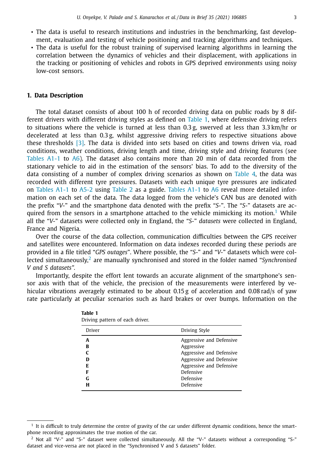- The data is useful to research institutions and industries in the benchmarking, fast development, evaluation and testing of vehicle positioning and tracking algorithms and techniques.
- The data is useful for the robust training of supervised learning algorithms in learning the correlation between the dynamics of vehicles and their displacement, with applications in the tracking or positioning of vehicles and robots in GPS deprived environments using noisy low-cost sensors.

# **1. Data Description**

The total dataset consists of about 100 h of recorded driving data on public roads by 8 different drivers with different driving styles as defined on Table 1, where defensive driving refers to situations where the vehicle is turned at less than  $0.3$  g, swerved at less than  $3.3$  km/hr or decelerated at less than 0.3 g, whilst aggressive driving refers to respective situations above these thresholds [\[3\].](#page-18-0) The data is divided into sets based on cities and towns driven via, road conditions, weather conditions, driving length and time, driving style and driving features (see [Tables](#page-8-0) A1-1 to [A6\)](#page-18-0). The dataset also contains more than 20 min of data recorded from the stationary vehicle to aid in the estimation of the sensors' bias. To add to the diversity of the data consisting of a number of complex driving scenarios as shown on [Table](#page-6-0) 4, the data was recorded with different tyre pressures. Datasets with each unique tyre pressures are indicated on [Tables](#page-8-0) A1-1 to [A5-2](#page-17-0) using [Table](#page-4-0) 2 as a guide. [Tables](#page-8-0) A1-1 to [A6](#page-18-0) reveal more detailed information on each set of the data. The data logged from the vehicle's CAN bus are denoted with the prefix "*V-*" and the smartphone data denoted with the prefix "*S-*". The "*S-*" datasets are acquired from the sensors in a smartphone attached to the vehicle mimicking its motion.<sup>1</sup> While all the "*V-*" datasets were collected only in England, the "*S-*" *datasets* were collected in England, France and Nigeria.

Over the course of the data collection, communication difficulties between the GPS receiver and satellites were encountered. Information on data indexes recorded during these periods are provided in a file titled "*GPS outages*". Where possible, the "*S-*" and "*V-*" datasets which were collected simultaneously,<sup>2</sup> are manually synchronised and stored in the folder named "*Synchronised V and S datasets".*

Importantly, despite the effort lent towards an accurate alignment of the smartphone's sensor axis with that of the vehicle, the precision of the measurements were interfered by vehicular vibrations averagely estimated to be about 0.15 g of acceleration and 0.08 rad/s of yaw rate particularly at peculiar scenarios such as hard brakes or over bumps. Information on the

| Driver                          | Driving Style                                                                                                                                                     |
|---------------------------------|-------------------------------------------------------------------------------------------------------------------------------------------------------------------|
| A<br>в<br>ח<br>E<br>F<br>G<br>н | Aggressive and Defensive<br>Aggressive<br>Aggressive and Defensive<br>Aggressive and Defensive<br>Aggressive and Defensive<br>Defensive<br>Defensive<br>Defensive |
|                                 |                                                                                                                                                                   |

| Table 1                         |
|---------------------------------|
| Driving pattern of each driver. |

 $<sup>1</sup>$  It is difficult to truly determine the centre of gravity of the car under different dynamic conditions, hence the smart-</sup> phone recording approximates the true motion of the car.

<sup>2</sup> Not all "V-" and "S-" dataset were collected simultaneously. All the "V-" datasets without a corresponding "S-" dataset and vice-versa are not placed in the "Synchronised V and S datasets" folder.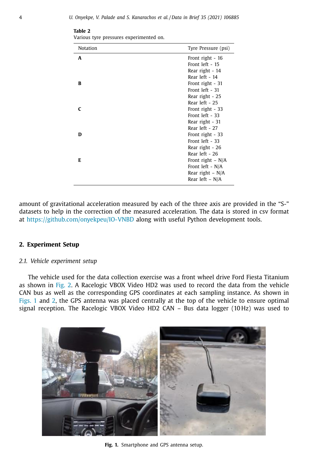| Notation | Tyre Pressure (psi) |
|----------|---------------------|
| A        | Front right - 16    |
|          | Front left - 15     |
|          | Rear right - 14     |
|          | Rear left - 14      |
| в        | Front right - 31    |
|          | Front left - 31     |
|          | Rear right - 25     |
|          | Rear left - 25      |
|          | Front right - 33    |
|          | Front left - 33     |
|          | Rear right - 31     |
|          | Rear left - 27      |
| D        | Front right - 33    |
|          | Front left - 33     |
|          | Rear right - 26     |
|          | Rear left - 26      |
| Е        | Front right $- N/A$ |
|          | Front left - N/A    |
|          | Rear right $- N/A$  |
|          | Rear left – $N/A$   |

<span id="page-4-0"></span>**Table 2** Various tyre pressures experimented on.

amount of gravitational acceleration measured by each of the three axis are provided in the "S-" datasets to help in the correction of the measured acceleration. The data is stored in csv format at <https://github.com/onyekpeu/IO-VNBD> along with useful Python development tools.

# **2. Experiment Setup**

# *2.1. Vehicle experiment setup*

The vehicle used for the data collection exercise was a front wheel drive Ford Fiesta Titanium as shown in [Fig.](#page-5-0) 2. A Racelogic VBOX Video HD2 was used to record the data from the vehicle CAN bus as well as the corresponding GPS coordinates at each sampling instance. As shown in Figs. 1 and [2,](#page-5-0) the GPS antenna was placed centrally at the top of the vehicle to ensure optimal signal reception. The Racelogic VBOX Video HD2 CAN – Bus data logger (10 Hz) was used to



**Fig. 1.** Smartphone and GPS antenna setup.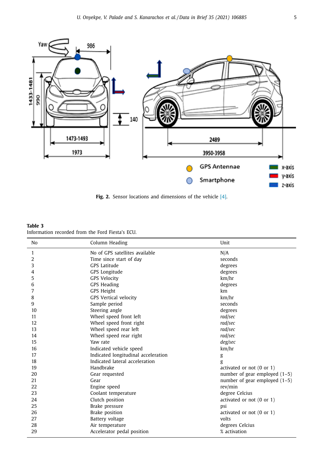<span id="page-5-0"></span>

**Fig. 2.** Sensor locations and dimensions of the vehicle [\[4\].](#page-18-0)

# **Table 3** Information recorded from the Ford Fiesta's ECU.

| No | Column Heading                      | Unit                                 |
|----|-------------------------------------|--------------------------------------|
| 1  | No of GPS satellites available      | N/A                                  |
| 2  | Time since start of day             | seconds                              |
| 3  | <b>GPS</b> Latitude                 | degrees                              |
| 4  | GPS Longitude                       | degrees                              |
| 5  | <b>GPS Velocity</b>                 | km/hr                                |
| 6  | <b>GPS Heading</b>                  | degrees                              |
| 7  | <b>GPS Height</b>                   | km                                   |
| 8  | <b>GPS Vertical velocity</b>        | km/hr                                |
| 9  | Sample period                       | seconds                              |
| 10 | Steering angle                      | degrees                              |
| 11 | Wheel speed front left              | rad/sec                              |
| 12 | Wheel speed front right             | rad/sec                              |
| 13 | Wheel speed rear left               | rad/sec                              |
| 14 | Wheel speed rear right              | rad/sec                              |
| 15 | Yaw rate                            | deg/sec                              |
| 16 | Indicated vehicle speed             | km/hr                                |
| 17 | Indicated longitudinal acceleration | g                                    |
| 18 | Indicated lateral acceleration      | g                                    |
| 19 | Handbrake                           | activated or not $(0 \text{ or } 1)$ |
| 20 | Gear requested                      | number of gear employed $(1-5)$      |
| 21 | Gear                                | number of gear employed $(1-5)$      |
| 22 | Engine speed                        | rev/min                              |
| 23 | Coolant temperature                 | degree Celcius                       |
| 24 | Clutch position                     | activated or not $(0$ or $1)$        |
| 25 | Brake pressure                      | psi                                  |
| 26 | Brake position                      | activated or not $(0 \text{ or } 1)$ |
| 27 | Battery voltage                     | volts                                |
| 28 | Air temperature                     | degrees Celcius                      |
| 29 | Accelerator pedal position          | % activation                         |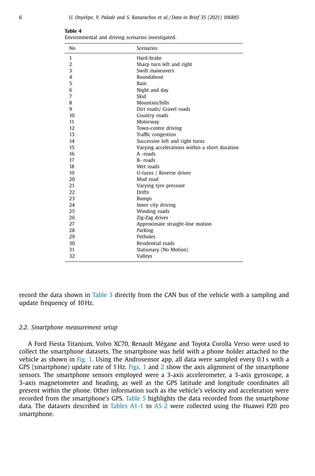| No             | Scenarios                                     |
|----------------|-----------------------------------------------|
| 1              | Hard-brake                                    |
| $\overline{2}$ | Sharp turn left and right                     |
| 3              | Swift maneuvers                               |
| 4              | Roundabout                                    |
| 5              | Rain                                          |
| 6              | Night and day                                 |
| 7              | Skid                                          |
| 8              | Mountain/hills                                |
| 9              | Dirt roads/ Gravel roads                      |
| 10             | Country roads                                 |
| 11             | Motorway                                      |
| 12             | Town-centre driving                           |
| 13             | Traffic congestion                            |
| 14             | Successive left and right turns               |
| 15             | Varying accelerations within a short duration |
| 16             | A -roads                                      |
| 17             | B-roads                                       |
| 18             | Wet roads                                     |
| 19             | U-turns / Reverse drives                      |
| 20             | Mud road                                      |
| 21             | Varying tyre pressure                         |
| 22             | <b>Drifts</b>                                 |
| 23             | <b>Bumps</b>                                  |
| 24             | Inner city driving                            |
| 25             | Winding roads                                 |
| 26             | Zig-Zag drives                                |
| 27             | Approximate straight-line motion              |
| 28             | Parking                                       |
| 29             | Potholes                                      |
| 30             | Residential roads                             |
| 31             | Stationary (No Motion)                        |
| 32             | Valleys                                       |

<span id="page-6-0"></span>**Table 4**

Environmental and driving scenarios investigated.

record the data shown in [Table](#page-5-0) 3 directly from the CAN bus of the vehicle with a sampling and update frequency of 10 Hz.

# *2.2. Smartphone measurement setup*

A Ford Fiesta Titanium, Volvo XC70, Renault Mégane and Toyota Corolla Verso were used to collect the smartphone datasets. The smartphone was held with a phone holder attached to the vehicle as shown in [Fig.](#page-4-0) 1. Using the Androsensor app, all data were sampled every 0.1 s with a GPS (smartphone) update rate of 1 Hz. [Figs.](#page-4-0) 1 and [2](#page-5-0) show the axis alignment of the smartphone sensors. The smartphone sensors employed were a 3-axis accelerometer, a 3-axis gyroscope, a 3-axis magnetometer and heading, as well as the GPS latitude and longitude coordinates all present within the phone. Other information such as the vehicle's velocity and acceleration were recorded from the smartphone's GPS. [Table](#page-7-0) 5 highlights the data recorded from the smartphone data. The datasets described in [Tables](#page-8-0) A1-1 to [A5-2](#page-17-0) were collected using the Huawei P20 pro smartphone.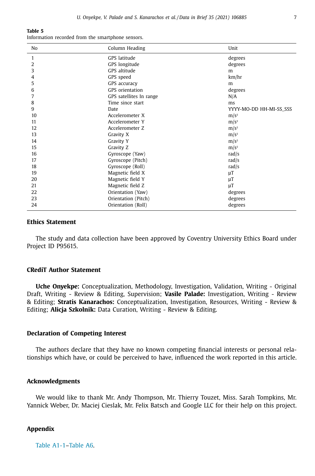#### <span id="page-7-0"></span>**Table 5**

Information recorded from the smartphone sensors.

| No | Column Heading          | Unit                    |
|----|-------------------------|-------------------------|
| 1  | GPS latitude            | degrees                 |
| 2  | GPS longitude           | degrees                 |
| 3  | GPS altitude            | m                       |
| 4  | GPS speed               | km/hr                   |
| 5  | GPS accuracy            | m                       |
| 6  | GPS orientation         | degrees                 |
| 7  | GPS satellites In range | N/A                     |
| 8  | Time since start        | ms                      |
| 9  | Date                    | YYYY-MO-DD HH-MI-SS_SSS |
| 10 | Accelerometer X         | $m/s^2$                 |
| 11 | Accelerometer Y         | $m/s^2$                 |
| 12 | Accelerometer Z         | $m/s^2$                 |
| 13 | Gravity X               | $m/s^2$                 |
| 14 | Gravity Y               | $m/s^2$                 |
| 15 | Gravity Z               | $m/s^2$                 |
| 16 | Gyroscope (Yaw)         | rad/s                   |
| 17 | Gyroscope (Pitch)       | rad/s                   |
| 18 | Gyroscope (Roll)        | rad/s                   |
| 19 | Magnetic field X        | $\mu$ T                 |
| 20 | Magnetic field Y        | $\mu$ T                 |
| 21 | Magnetic field Z        | μT                      |
| 22 | Orientation (Yaw)       | degrees                 |
| 23 | Orientation (Pitch)     | degrees                 |
| 24 | Orientation (Roll)      | degrees                 |

# **Ethics Statement**

The study and data collection have been approved by Coventry University Ethics Board under Project ID P95615.

# **CRediT Author Statement**

**Uche Onyekpe:** Conceptualization, Methodology, Investigation, Validation, Writing - Original Draft, Writing - Review & Editing, Supervision; **Vasile Palade:** Investigation, Writing - Review & Editing; **Stratis Kanarachos:** Conceptualization, Investigation, Resources, Writing - Review & Editing; **Alicja Szkolnik:** Data Curation, Writing - Review & Editing.

# **Declaration of Competing Interest**

The authors declare that they have no known competing financial interests or personal relationships which have, or could be perceived to have, influenced the work reported in this article.

# **Acknowledgments**

We would like to thank Mr. Andy Thompson, Mr. Thierry Touzet, Miss. Sarah Tompkins, Mr. Yannick Weber, Dr. Maciej Cieslak, Mr. Felix Batsch and Google LLC for their help on this project.

# **Appendix**

[Table](#page-8-0) A1-1[–Table](#page-18-0) A6.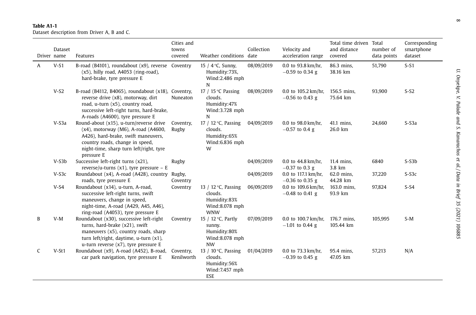# <span id="page-8-0"></span>**Table A1-1**Dataset description from Driver A, B and C.

| Driver name | Dataset | Features                                                                                                                                                                                                             | Cities and<br>towns<br>covered | Weather conditions date                                                                  | Collection | Velocity and<br>acceleration range       | Total time driven Total<br>and distance<br>covered | number of<br>data points | Corresponding<br>smartphone<br>dataset |
|-------------|---------|----------------------------------------------------------------------------------------------------------------------------------------------------------------------------------------------------------------------|--------------------------------|------------------------------------------------------------------------------------------|------------|------------------------------------------|----------------------------------------------------|--------------------------|----------------------------------------|
| A           | $V-S1$  | B-road (B4101), roundabout (x9), reverse Coventry<br>(x5), hilly road, A4053 (ring-road),<br>hard-brake, tyre pressure E                                                                                             |                                | 15 / $4^{\circ}$ C, Sunny,<br>Humidity:73%,<br>Wind:2.486 mph<br>N                       | 08/09/2019 | 0.0 to 93.8 km/hr,<br>$-0.59$ to 0.34 g  | 86.3 mins,<br>38.16 km                             | 51,790                   | $S-S1$                                 |
|             | $V-S2$  | B-road (B4112, B4065), roundabout (x18), Coventry,<br>reverse drive (x8), motorway, dirt<br>road, u-turn (x5), country road,<br>successive left-right turns, hard-brake,<br>A-roads (A4600), tyre pressure E         | Nuneaton                       | 17 / 15 $\degree$ C Passing<br>clouds.<br>Humidity:47%<br>Wind:3.728 mph<br>N            | 08/09/2019 | 0.0 to 105.2 km/hr,<br>$-0.56$ to 0.43 g | 156.5 mins.<br>75.64 km                            | 93,900                   | $S-S2$                                 |
|             | $V-S3a$ | Round-about (x15), u-turn/reverse drive<br>$(x4)$ , motorway (M6), A-road (A4600,<br>A426), hard-brake, swift maneuvers,<br>country roads, change in speed,<br>night-time, sharp turn left/right, tyre<br>pressure E | Coventry,<br>Rugby             | 17 / 12 $\degree$ C, Passing<br>clouds.<br>Humidity:65%<br>Wind:6.836 mph<br>W           | 04/09/2019 | 0.0 to 98.0 km/hr,<br>$-0.57$ to 0.4 g   | 41.1 mins,<br>26.0 km                              | 24,660                   | $S-S3a$                                |
|             | $V-S3b$ | Successive left-right turns (x21),<br>reverse/u-turns $(x1)$ , tyre pressure - E                                                                                                                                     | Rugby                          |                                                                                          | 04/09/2019 | 0.0 to 44.8 km/hr,<br>$-0.37$ to 0.3 g   | 11.4 mins,<br>3.8 km                               | 6840                     | $S- S3b$                               |
|             | $V-S3c$ | Roundabout (x4), A-road (A428), country<br>roads, tyre pressure E                                                                                                                                                    | Rugby,<br>Coventry             |                                                                                          | 04/09/2019 | 0.0 to 117.1 km/hr,<br>$-0.36$ to 0.35 g | 62.0 mins,<br>44.28 km                             | 37,220                   | $S-SSC$                                |
|             | $V-S4$  | Roundabout (x14), u-turn, A-road,<br>successive left-right turns, swift<br>maneuvers, change in speed,<br>night-time, A-road (A429, A45, A46),<br>ring-road (A4053), tyre pressure E                                 | Coventry                       | 13 / 12 $\degree$ C, Passing<br>clouds.<br>Humidity:83%<br>Wind:8.078 mph<br><b>WNW</b>  | 06/09/2019 | 0.0 to 109.6 km/hr,<br>$-0.48$ to 0.41 g | 163.0 mins,<br>93.9 km                             | 97,824                   | $S-S4$                                 |
| B           | $V-M$   | Roundabout (x30), successive left-right<br>turns, hard-brake (x21), swift<br>maneuvers (x5), country roads, sharp<br>turn left/right, daytime, u-turn (x1),<br>u-turn reverse (x7), tyre pressure E                  | Coventry                       | 15 / 12 °C, Partly<br>sunny.<br>Humidity:80%<br>Wind:8.078 mph<br><b>NW</b>              | 07/09/2019 | 0.0 to 100.7 km/hr.<br>$-1.01$ to 0.44 g | 176.7 mins.<br>105.44 km                           | 105,995                  | $S-M$                                  |
| C           | $V-St1$ | Roundabout (x9), A-road (A452), B-road,<br>car park navigation, tyre pressure E                                                                                                                                      | Coventry,<br>Kenilworth        | 13 / 10 $\degree$ C, Passing<br>clouds.<br>Humidity:56%<br>Wind: 7.457 mph<br><b>ESE</b> | 01/04/2019 | 0.0 to 73.3 km/hr,<br>$-0.39$ to 0.45 g  | 95.4 mins,<br>47.05 km                             | 57,213                   | N/A                                    |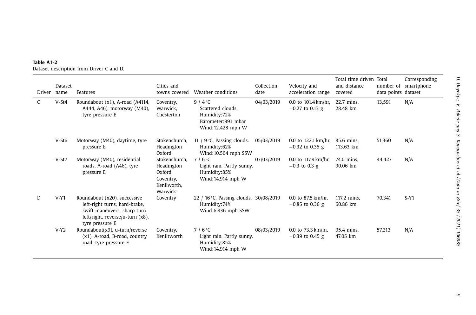| Driver | Dataset<br>name | Features                                                                                                                                            | Cities and<br>towns covered                                                   | Weather conditions                                                                                | Collection<br>date | Velocity and<br>acceleration range                  | Total time driven Total<br>and distance<br>covered | data points dataset | Corresponding<br>number of smartphone |
|--------|-----------------|-----------------------------------------------------------------------------------------------------------------------------------------------------|-------------------------------------------------------------------------------|---------------------------------------------------------------------------------------------------|--------------------|-----------------------------------------------------|----------------------------------------------------|---------------------|---------------------------------------|
|        | $V-St4$         | Roundabout (x1), A-road (A4114,<br>A444, A46), motorway (M40),<br>tyre pressure E                                                                   | Coventry,<br>Warwick.<br>Chesterton                                           | 9 / $4^{\circ}$ C<br>Scattered clouds.<br>Humidity:72%<br>Barometer:991 mbar<br>Wind:12.428 mph W | 04/03/2019         | 0.0 to $101.4 \text{ km/hr}$ ,<br>$-0.27$ to 0.13 g | 22.7 mins,<br>28.48 km                             | 13,591              | N/A                                   |
|        | $V-St6$         | Motorway (M40), daytime, tyre<br>pressure E                                                                                                         | Stokenchurch.<br>Headington<br>Oxford                                         | 11 / $9^{\circ}$ C, Passing clouds.<br>Humidity:62%<br>Wind:10.564 mph SSW                        | 05/03/2019         | $0.0$ to 122.1 km/hr.<br>$-0.32$ to 0.35 g          | 85.6 mins.<br>113.63 km                            | 51,360              | N/A                                   |
|        | $V-St7$         | Motorway (M40), residential<br>roads, A-road (A46), tyre<br>pressure E                                                                              | Stokenchurch,<br>Headington<br>Oxford.<br>Coventry,<br>Kenilworth,<br>Warwick | $7/6$ °C<br>Light rain. Partly sunny.<br>Humidity:85%<br>Wind:14.914 mph W                        | 07/03/2019         | 0.0 to 117.9 km/hr,<br>$-0.3$ to 0.3 g              | 74.0 mins.<br>90.06 km                             | 44,427              | N/A                                   |
| D      | $V-Y1$          | Roundabout (x20), successive<br>left-right turns, hard-brake,<br>swift maneuvers, sharp turn<br>left/right, reverse/u-turn (x8),<br>tyre pressure E | Coventry                                                                      | 22 / 16 °C, Passing clouds. 30/08/2019<br>Humidity:74%<br>Wind:6.836 mph SSW                      |                    | 0.0 to 87.5 km/hr,<br>$-0.85$ to 0.36 g             | 117.2 mins.<br>60.86 km                            | 70,341              | $S-Y1$                                |
|        | $V-Y2$          | Roundabout(x9), u-turn/reverse<br>$(x1)$ , A-road, B-road, country<br>road, tyre pressure E                                                         | Coventry,<br>Keniltworth                                                      | $7/6$ °C<br>Light rain. Partly sunny.<br>Humidity:85%<br>Wind:14.914 mph W                        | 08/03/2019         | 0.0 to 73.3 km/hr,<br>$-0.39$ to 0.45 g             | 95.4 mins.<br>47.05 km                             | 57,213              | N/A                                   |

# **Table A1-2**Dataset description from Driver C and D.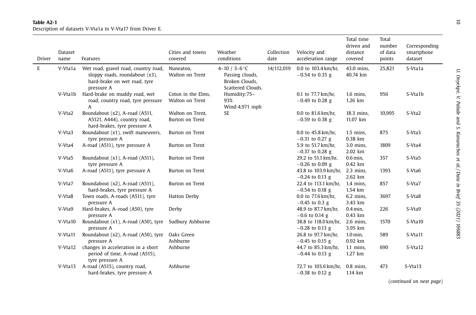#### **Table A2-1**Description of datasets V-Vta1a to V-Vta17 from Driver E.

| Driver | Dataset<br>name | Features                                                                                                             | Cities and towns<br>covered           | Weather<br>conditions                                                   | Collection<br>date | Velocity and<br>acceleration range                  | Total time<br>driven and<br>distance<br>covered | Total<br>number<br>of data<br>points | Corresponding<br>smartphone<br>dataset |
|--------|-----------------|----------------------------------------------------------------------------------------------------------------------|---------------------------------------|-------------------------------------------------------------------------|--------------------|-----------------------------------------------------|-------------------------------------------------|--------------------------------------|----------------------------------------|
| E      | V-Vta1a         | Wet road, gravel road, country road,<br>sloppy roads, roundabout (x3),<br>hard-brake on wet road, tyre<br>pressure A | Nuneaton,<br>Walton on Trent          | 4-10 / 3-6 °C<br>Passing clouds,<br>Broken Clouds,<br>Scattered Clouds. | 14/112,019         | 0.0 to 103.4 km/hr,<br>$-0.54$ to 0.35 g            | 43.0 mins,<br>40.74 km                          | 25,821                               | S-Vta1a                                |
|        | V-Vta1b         | Hard-brake on muddy road, wet<br>road, country road, tyre pressure<br>A                                              | Coton in the Elms,<br>Walton on Trent | Humidity:75-<br>93%<br>Wind:4.971 mph                                   |                    | 0.1 to 77.7 km/hr,<br>$-0.49$ to 0.28 g             | $1.6$ mins,<br>1.26 km                          | 956                                  | S-Vta1b                                |
|        | V-Vta2          | Roundabout (x2), A-road (A511,<br>A5121, A444), country road,<br>hard-brakes, tyre pressure A                        | Walton on Trent,<br>Burton on Trent   | <b>SE</b>                                                               |                    | 0.0 to 81.6 km/hr,<br>$-0.59$ to 0.38 g             | 18.3 mins,<br>11.07 km                          | 10,995                               | S-Vta2                                 |
|        | V-Vta3          | Roundabout (x1), swift maneuvers,<br>tyre pressure A                                                                 | Burton on Trent                       |                                                                         |                    | 0.0 to 45.8 km/hr,<br>$-0.31$ to 0.27 g             | $1.5$ mins,<br>0.38 km                          | 875                                  | S-Vta3                                 |
|        | V-Vta4          | A-road (A511), tyre pressure A                                                                                       | Burton on Trent                       |                                                                         |                    | 5.9 to 51.7 km/hr,<br>$-0.37$ to 0.28 g             | 3.0 mins.<br>2.02 km                            | 1809                                 | S-Vta4                                 |
|        | V-Vta5          | Roundabout (x1), A-road (A511),<br>tyre pressure A                                                                   | Burton on Trent                       |                                                                         |                    | 29.2 to 51.1 km/hr,<br>$-0.26$ to 0.09 g            | $0.6$ min,<br>$0.42$ km                         | 357                                  | S-Vta5                                 |
|        | V-Vta6          | A-road (A511), tyre pressure A                                                                                       | Burton on Trent                       |                                                                         |                    | 43.8 to 103.9 km/hr, 2.3 mins,<br>$-0.24$ to 0.13 g | 2.62 km                                         | 1393                                 | S-Vta6                                 |
|        | V-Vta7          | Roundabout (x2), A-road (A511),<br>hard-brakes, tyre pressure A                                                      | Burton on Trent                       |                                                                         |                    | 22.4 to 113.1 km/hr,<br>$-0.54$ to 0.18 g           | $1.4$ mins,<br>1.54 km                          | 857                                  | S-Vta7                                 |
|        | V-Vta8          | Town roads, A-roads (A511), tyre<br>pressure A                                                                       | Hatton Derby                          |                                                                         |                    | 0.0 to 77.6 km/hr,<br>$-0.45$ to 0.3 g              | $6.2$ mins,<br>3.43 km                          | 3697                                 | S-Vta8                                 |
|        | V-Vta9          | Hard-brakes, A-road (A50), tyre<br>pressure A                                                                        | Derby                                 |                                                                         |                    | 48.9 to 87.7 km/hr,<br>$-0.6$ to 0.14 g             | $0.4$ min,<br>0.43 km                           | 226                                  | S-Vta9                                 |
|        | V-Vta10         | Roundabout (x1), A-road (A50), tyre<br>pressure A                                                                    | Sudbury Ashburne                      |                                                                         |                    | 38.8 to 118.0 km/hr,<br>$-0.28$ to 0.13 g           | $2.6$ mins,<br>3.95 km                          | 1570                                 | S-Vta10                                |
|        | V-Vta11         | Roundabout (x2), A-road (A50), tyre<br>pressure A                                                                    | Oaks Green<br>Ashburne                |                                                                         |                    | 26.8 to 97.7 km/hr,<br>$-0.45$ to 0.15 g            | $1.0$ min,<br>0.92 km                           | 589                                  | S-Vta11                                |
|        | V-Vta12         | changes in acceleration in a short<br>period of time, A-road (A515),<br>tyre pressure A                              | Ashburne                              |                                                                         |                    | 44.7 to 85.3 km/hr,<br>$-0.44$ to 0.13 g            | $1.1$ mins,<br>1.27 km                          | 690                                  | S-Vta12                                |
|        | V-Vta13         | A-road (A515), country road,<br>hard-brakes, tyre pressure A                                                         | Ashburne                              |                                                                         |                    | 72.7 to 103.6 km/hr, 0.8 mins,<br>$-0.38$ to 0.12 g | 1.14 km                                         | 473                                  | S-Vta13                                |

(*continued on next page*)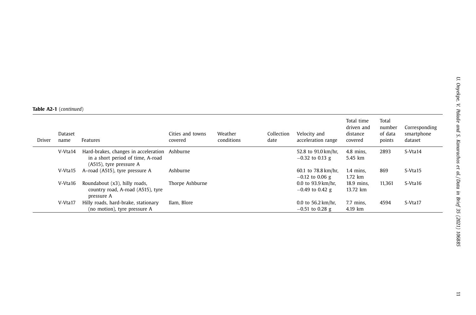**Table A2-1** (*continued*)

| Driver | Dataset<br>name | Features                                                                                             | Cities and towns<br>covered | Weather<br>conditions | Collection<br>date | Velocity and<br>acceleration range                 | Total time<br>driven and<br>distance<br>covered | Total<br>number<br>of data<br>points | Corresponding<br>smartphone<br>dataset |
|--------|-----------------|------------------------------------------------------------------------------------------------------|-----------------------------|-----------------------|--------------------|----------------------------------------------------|-------------------------------------------------|--------------------------------------|----------------------------------------|
|        | V-Vta14         | Hard-brakes, changes in acceleration<br>in a short period of time, A-road<br>(A515), tyre pressure A | Ashburne                    |                       |                    | 52.8 to 91.0 km/hr.<br>$-0.32$ to 0.13 g           | $4.8$ mins.<br>5.45 km                          | 2893                                 | S-Vta14                                |
|        | V-Vta15         | A-road (A515), tyre pressure A                                                                       | Ashburne                    |                       |                    | 60.1 to 78.8 km/hr,<br>$-0.12$ to 0.06 g           | $1.4$ mins.<br>1.72 km                          | 869                                  | S-Vta15                                |
|        | V-Vta16         | Roundabout (x3), hilly roads,<br>country road, A-road (A515), tyre<br>pressure A                     | Thorpe Ashburne             |                       |                    | $0.0$ to 93.9 km/hr.<br>$-0.49$ to 0.42 g          | 18.9 mins.<br>13.72 km                          | 11.361                               | S-Vta16                                |
|        | V-Vta17         | Hilly roads, hard-brake, stationary<br>(no motion), tyre pressure A                                  | Ilam. Blore                 |                       |                    | 0.0 to $56.2 \text{ km/hr}$ ,<br>$-0.51$ to 0.28 g | 7.7 mins.<br>4.19 km                            | 4594                                 | S-Vta17                                |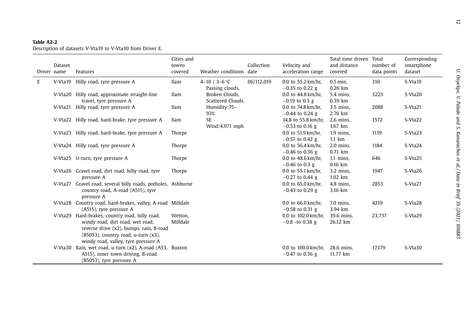#### **Table A2-2**

|   | Dataset<br>Driver name | Features                                                                                                                                                                                                          | Cities and<br>towns<br>covered | Weather conditions date             | Collection | Velocity and<br>acceleration range                    | Total time driven<br>and distance<br>covered | Total<br>number of<br>data points | Corresponding<br>smartphone<br>dataset |
|---|------------------------|-------------------------------------------------------------------------------------------------------------------------------------------------------------------------------------------------------------------|--------------------------------|-------------------------------------|------------|-------------------------------------------------------|----------------------------------------------|-----------------------------------|----------------------------------------|
| E | V-Vta19                | Hilly road, tyre pressure A                                                                                                                                                                                       | Ilam                           | 4-10 / 3-6 °C<br>Passing clouds,    | 06/112,019 | 0.0 to $55.2 \text{ km/hr}$ ,<br>$-0.35$ to 0.22 g    | $0.5$ min,<br>$0.26$ km                      | 310                               | S-Vta19                                |
|   |                        | V-Vta20 Hilly road, approximate straight-line<br>travel, tyre pressure A                                                                                                                                          | <b>Ilam</b>                    | Broken Clouds,<br>Scattered Clouds. |            | 0.0 to 44.8 km/hr,<br>$-0.19$ to 0.3 g                | 5.4 mins.<br>$0.39$ km                       | 3223                              | S-Vta20                                |
|   |                        | V-Vta21 Hilly road, tyre pressure A                                                                                                                                                                               | Ilam                           | Humidity:75-<br>93%                 |            | 0.0 to $74.8 \text{ km/hr}$ ,<br>$-0.44$ to 0.24 g    | 3.5 mins,<br>2.76 km                         | 2088                              | S-Vta21                                |
|   |                        | V-Vta22 Hilly road, hard-brake, tyre pressure A                                                                                                                                                                   | <b>Ilam</b>                    | <b>SE</b><br>Wind:4.971 mph         |            | 14.8 to 55.8 km/hr,<br>$-0.53$ to 0.16 g              | $2.6$ mins,<br>1.67 km                       | 1572                              | S-Vta22                                |
|   |                        | V-Vta23 Hilly road, hard-brake, tyre pressure A                                                                                                                                                                   | Thorpe                         |                                     |            | 0.0 to $51.9 \,\mathrm{km/hr}$ ,<br>$-0.57$ to 0.42 g | $1.9$ mins.<br>$1.1 \text{ km}$              | 1119                              | S-Vta <sub>23</sub>                    |
|   |                        | V-Vta24 Hilly road, tyre pressure A                                                                                                                                                                               | Thorpe                         |                                     |            | 0.0 to $56.4 \,\mathrm{km/hr}$ ,<br>$-0.46$ to 0.36 g | $2.0$ mins,<br>$0.71$ km                     | 1184                              | S-Vta24                                |
|   |                        | V-Vta25 U-turn, tyre pressure A                                                                                                                                                                                   | Thorpe                         |                                     |            | 0.0 to $48.6 \text{ km/hr}$ ,<br>$-0.46$ to 0.3 g     | $1.1$ mins,<br>0.16 km                       | 646                               | S-Vta <sub>25</sub>                    |
|   |                        | V-Vta26 Gravel road, dirt road, hilly road, tyre<br>pressure A                                                                                                                                                    | Thorpe                         |                                     |            | 0.0 to $55.1 \text{ km/hr}$ ,<br>$-0.27$ to 0.44 g    | 3.2 mins.<br>1.02 km                         | 1947                              | S-Vta26                                |
|   |                        | V-Vta27 Gravel road, several hilly roads, potholes, Ashburne<br>country road, A-road (A515), tyre<br>pressure A                                                                                                   |                                |                                     |            | 0.0 to $65.0 \,\mathrm{km/hr}$ ,<br>$-0.43$ to 0.29 g | $4.8$ mins.<br>3.16 km                       | 2853                              | S-Vta <sub>27</sub>                    |
|   |                        | V-Vta28 Country road, hard-brakes, valley, A-road Milldale<br>(A515), tyre pressure A                                                                                                                             |                                |                                     |            | 0.0 to $66.0 \text{ km/hr}$ ,<br>$-0.58$ to 0.31 g    | 7.0 mins,<br>3.94 km                         | 4219                              | S-Vta28                                |
|   |                        | V-Vta29 Hard-brakes, country road, hilly road,<br>windy road, dirt road, wet road,<br>reverse drive (x2), bumps, rain, B-road<br>$(B5053)$ , country road, u-turn $(x3)$ ,<br>windy road, valley, tyre pressure A | Wetton,<br>Milldale            |                                     |            | 0.0 to 102.0 km/hr,<br>$-0.8$ -to 0.38 g              | 39.6 mins,<br>26.12 km                       | 23,737                            | S-Vta29                                |
|   |                        | V-Vta30 Rain, wet road, u-turn (x2), A-road (A53, Buxton<br>A515), inner town driving, B-road<br>(B5053), tyre pressure A                                                                                         |                                |                                     |            | 0.0 to $100.0 \text{ km/hr}$ ,<br>$-0.47$ to 0.36 g   | 28.6 mins.<br>11.77 km                       | 17.179                            | S-Vta30                                |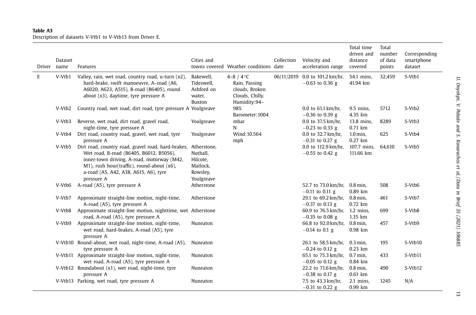### **Table A3**Description of datasets V-Vtb1 to V-Vtb13 from Driver E.

| Driver name | Dataset | Features                                                                                                                                                                                                                                                     | Cities and                                                 | towns covered Weather conditions date                                            | Collection | Velocity and<br>acceleration range                  | Total time<br>driven and<br>distance<br>covered | Total<br>number<br>of data<br>points | Corresponding<br>smartphone<br>dataset |
|-------------|---------|--------------------------------------------------------------------------------------------------------------------------------------------------------------------------------------------------------------------------------------------------------------|------------------------------------------------------------|----------------------------------------------------------------------------------|------------|-----------------------------------------------------|-------------------------------------------------|--------------------------------------|----------------------------------------|
| E           | V-Vtb1  | Valley, rain, wet road, country road, u-turn (x2),<br>hard-brake, swift manoeuvre, A-road (A6,<br>A6020, A623, A515), B-road (B6405), round<br>about $(x3)$ , daytime, tyre pressure A                                                                       | Bakewell,<br>Tideswell.<br>Ashford on<br>water,<br>Buxton  | 4-8 / 4 °C<br>Rain, Passing<br>clouds, Broken<br>Clouds, Chilly.<br>Humidity:94- |            | 06/11/2019 0.0 to 101.2 km/hr,<br>$-0.63$ to 0.36 g | 54.1 mins,<br>41.94 km                          | 32,459                               | S-Vtb1                                 |
|             | V-Vtb2  | Country road, wet road, dirt road, tyre pressure A Youlgreave                                                                                                                                                                                                |                                                            | 98%<br>Barometer: 1004                                                           |            | 0.0 to $61.1 \text{ km/hr}$ ,<br>$-0.36$ to 0.39 g  | 9.5 mins.<br>4.35 km                            | 5712                                 | S-Vtb2                                 |
|             | V-Vtb3  | Reverse, wet road, dirt road, gravel road,<br>night-time, tyre pressure A                                                                                                                                                                                    | Youlgreave                                                 | mbar<br>N                                                                        |            | 0.0 to 37.5 km/hr,<br>$-0.23$ to 0.33 g             | 13.8 mins,<br>$0.71$ km                         | 8289                                 | S-Vtb3                                 |
|             | V-Vtb4  | Dirt road, country road, gravel, wet road, tyre<br>pressure A                                                                                                                                                                                                | Youlgreave                                                 | Wind:10.564<br>mph                                                               |            | 0.0 to 32.7 km/hr,<br>$-0.31$ to 0.27 g             | $1.0$ min.<br>$0.27$ km                         | 625                                  | S-Vtb4                                 |
|             | V-Vtb5  | Dirt road, country road, gravel road, hard-brakes, Atherstone,<br>Wet road, B-road (B6405, B6012, B5056),<br>inner-town driving, A-road, motorway (M42,<br>M1), rush hour(traffic), round-about (x6),<br>a-road (A5, A42, A38, A615, A6), tyre<br>pressure A | Nuthall,<br>Hilcote,<br>Matlock,<br>Rowsley,<br>Youlgreave |                                                                                  |            | 0.0 to 112.9 km/hr,<br>$-0.55$ to 0.42 g            | 107.7 mins,<br>111.66 km                        | 64,610                               | S-Vtb5                                 |
|             | V-Vtb6  | A-road (A5), tyre pressure A                                                                                                                                                                                                                                 | Atherstone                                                 |                                                                                  |            | 52.7 to 73.0 km/hr,<br>$-0.11$ to 0.11 g            | $0.8$ min,<br>$0.89$ km                         | 508                                  | S-Vtb6                                 |
|             | V-Vtb7  | Approximate straight-line motion, night-time,<br>A-road (A5), tyre pressure A                                                                                                                                                                                | Atherstone                                                 |                                                                                  |            | 29.1 to 69.2 km/hr,<br>$-0.37$ to 0.13 g            | $0.8$ min,<br>$0.72$ km                         | 461                                  | S-Vtb7                                 |
|             | V-Vtb8  | Approximate straight-line motion, nighttime, wet Atherstone<br>road, A-road (A5), tyre pressure A                                                                                                                                                            |                                                            |                                                                                  |            | 60.9 to 76.5 km/hr, 1.2 mins,<br>$-0.35$ to 0.08 g  | 1.35 km                                         | 699                                  | S-Vtb8                                 |
|             | V-Vtb9  | Approximate straight-line motion, night-time,<br>wet road, hard-brakes, A-road (A5), tyre<br>pressure A                                                                                                                                                      | Nuneaton                                                   |                                                                                  |            | 66.8 to 92.0 km/hr,<br>$-0.14$ to 0.1 g             | $0.8$ min,<br>0.98 km                           | 457                                  | S-Vtb9                                 |
|             |         | V-Vtb10 Round-about, wet road, night-time, A-road (A5),<br>tyre pressure A                                                                                                                                                                                   | Nuneaton                                                   |                                                                                  |            | 26.1 to 58.5 km/hr,<br>$-0.24$ to 0.12 g            | $0.3$ min,<br>$0.23$ km                         | 195                                  | S-Vtb10                                |
|             |         | V-Vtb11 Approximate straight-line motion, night-time,<br>wet road, A-road (A5), tyre pressure A                                                                                                                                                              | Nuneaton                                                   |                                                                                  |            | 65.1 to 75.3 km/hr,<br>$-0.05$ to 0.12 g            | $0.7$ min,<br>0.84 km                           | 433                                  | S-Vtb11                                |
|             |         | V-Vtb12 Roundabout (x1), wet road, night-time, tyre<br>pressure A                                                                                                                                                                                            | Nuneaton                                                   |                                                                                  |            | 22.2 to 71.6 km/hr,<br>$-0.38$ to 0.17 g            | $0.8$ min,<br>$0.61$ km                         | 490                                  | S-Vtb12                                |
|             |         | V-Vtb13 Parking, wet road, tyre pressure A                                                                                                                                                                                                                   | Nuneaton                                                   |                                                                                  |            | 7.5 to 43.3 km/hr,<br>$-0.31$ to 0.22 g             | $2.1$ mins,<br>0.99 km                          | 1245                                 | N/A                                    |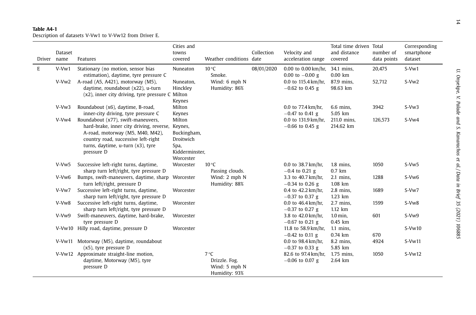# **Table A4-1**Description of datasets V-Vw1 to V-Vw12 from Driver E.

| Driver | Dataset<br>name | Features                                                                                                                                                                                                             | Cities and<br>towns<br>covered                                            | Weather conditions date                                         | Collection | Velocity and<br>acceleration range                    | Total time driven Total<br>and distance<br>covered | number of<br>data points | Corresponding<br>smartphone<br>dataset |
|--------|-----------------|----------------------------------------------------------------------------------------------------------------------------------------------------------------------------------------------------------------------|---------------------------------------------------------------------------|-----------------------------------------------------------------|------------|-------------------------------------------------------|----------------------------------------------------|--------------------------|----------------------------------------|
| E      | $V-Vw1$         | Stationary (no motion, sensor bias<br>estimation), daytime, tyre pressure C                                                                                                                                          | Nuneaton                                                                  | $10^{\circ}$ C<br>Smoke.                                        | 08/01/2020 | $0.00$ to $0.00$ km/hr,<br>0.00 to $-0.00$ g          | 34.1 mins,<br>$0.00$ km                            | 20,475                   | S-Vw1                                  |
|        | $V-Vw2$         | A-road (A5, A421), motorway (M5),<br>daytime, roundabout (x22), u-turn<br>(x2), inner city driving, tyre pressure C Milton                                                                                           | Nuneaton,<br>Hinckley<br>Keynes                                           | Wind: 6 mph N<br>Humidity: 86%                                  |            | 0.0 to 115.4 km/hr.<br>$-0.62$ to 0.45 g              | 87.9 mins,<br>98.63 km                             | 52,712                   | $S-Vw2$                                |
|        | $V-Vw3$         | Roundabout (x6), daytime, B-road,<br>inner-city driving, tyre pressure C                                                                                                                                             | Milton<br>Keynes                                                          |                                                                 |            | 0.0 to $77.4 \text{ km/hr}$ .<br>$-0.47$ to 0.41 g    | $6.6$ mins,<br>5.05 km                             | 3942                     | $S-Vw3$                                |
|        | V-Vw4           | Roundabout (x77), swift-maneuvers,<br>hard-brake, inner city driving, reverse, Keynes,<br>A-road, motorway (M5, M40, M42),<br>country road, successive left-right<br>turns, daytime, u-turn (x3), tyre<br>pressure D | Milton<br>Buckingham,<br>Droitwich<br>Spa,<br>Kidderminster,<br>Worcester |                                                                 |            | 0.0 to 131.9 km/hr.<br>$-0.66$ to 0.45 g              | 211.0 mins,<br>214.62 km                           | 126,573                  | $S-Vw4$                                |
|        | V-Vw5           | Successive left-right turns, daytime,<br>sharp turn left/right, tyre pressure D                                                                                                                                      | Worcester                                                                 | $10^{\circ}$ C<br>Passing clouds.                               |            | 0.0 to 38.7 km/hr,<br>$-0.4$ to 0.21 g                | $1.8$ mins,<br>$0.7$ km                            | 1050                     | $S-Vw5$                                |
|        | V-Vw6           | Bumps, swift-maneuvers, daytime, sharp<br>turn left/right, pressure D                                                                                                                                                | Worcester                                                                 | Wind: 2 mph N<br>Humidity: 88%                                  |            | 3.3 to 40.7 km/hr,<br>$-0.34$ to 0.26 g               | $2.1$ mins,<br>1.08 km                             | 1288                     | S-Vw <sub>6</sub>                      |
|        | V-Vw7           | Successive left-right turns, daytime,<br>sharp turn left/right, tyre pressure D                                                                                                                                      | Worcester                                                                 |                                                                 |            | 0.4 to 42.2 km/hr,<br>$-0.37$ to 0.37 g               | $2.8$ mins.<br>1.23 km                             | 1689                     | S-Vw7                                  |
|        | V-Vw8           | Successive left-right turns, daytime,<br>sharp turn left/right, tyre pressure D                                                                                                                                      | Worcester                                                                 |                                                                 |            | 0.0 to 46.4 km/hr,<br>$-0.37$ to 0.27 g               | $2.7$ mins,<br>1.12 km                             | 1599                     | S-Vw8                                  |
|        | V-Vw9           | Swift-maneuvers, daytime, hard-brake,<br>tyre pressure D                                                                                                                                                             | Worcester                                                                 |                                                                 |            | 3.8 to 42.0 km/hr,<br>$-0.67$ to 0.21 g               | $1.0$ min,<br>$0.45$ km                            | 601                      | S-Vw9                                  |
|        |                 | V-Vw10 Hilly road, daytime, pressure D                                                                                                                                                                               | Worcester                                                                 |                                                                 |            | 11.8 to 58.9 km/hr,<br>$-0.42$ to 0.11 g              | $1.1$ mins,<br>0.74 km                             | 670                      | $S-Vw10$                               |
|        |                 | V-Vw11 Motorway (M5), daytime, roundabout<br>$(x5)$ , tyre pressure D                                                                                                                                                |                                                                           |                                                                 |            | 0.0 to $98.4 \,\mathrm{km/hr}$ ,<br>$-0.37$ to 0.33 g | 8.2 mins,<br>5.85 km                               | 4924                     | $S-Vw11$                               |
|        |                 | V-Vw12 Approximate straight-line motion,<br>daytime, Motorway (M5), tyre<br>pressure D                                                                                                                               |                                                                           | $7^{\circ}C$<br>Drizzle. Fog.<br>Wind: 5 mph N<br>Humidity: 93% |            | 82.6 to 97.4 km/hr,<br>$-0.06$ to 0.07 g              | 1.75 mins,<br>2.64 km                              | 1050                     | $S-Vw12$                               |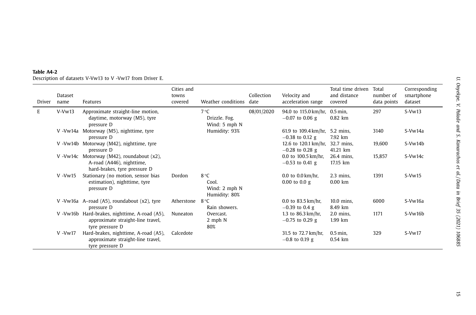| Driver | Dataset<br>name | Features                                                                                               | Cities and<br>towns<br>covered | Weather conditions                              | Collection<br>date | Velocity and<br>acceleration range                   | Total time driven<br>and distance<br>covered | Total<br>number of<br>data points | Corresponding<br>smartphone<br>dataset |
|--------|-----------------|--------------------------------------------------------------------------------------------------------|--------------------------------|-------------------------------------------------|--------------------|------------------------------------------------------|----------------------------------------------|-----------------------------------|----------------------------------------|
| E      | $V-Vw13$        | Approximate straight-line motion,<br>daytime, motorway (M5), tyre<br>pressure D                        |                                | $7^{\circ}$ C<br>Drizzle, Fog.<br>Wind: 5 mph N | 08/01/2020         | 94.0 to 115.0 km/hr, 0.5 min,<br>$-0.07$ to 0.06 g   | $0.82$ km                                    | 297                               | $S-Vw13$                               |
|        |                 | V -Vw14a Motorway (M5), nighttime, tyre<br>pressure D                                                  |                                | Humidity: 93%                                   |                    | 61.9 to 109.4 km/hr,<br>$-0.38$ to 0.12 g            | 5.2 mins,<br>7.92 km                         | 3140                              | S-Vw14a                                |
|        |                 | V -Vw14b Motorway (M42), nighttime, tyre<br>pressure D                                                 |                                |                                                 |                    | 12.6 to 120.1 km/hr,<br>$-0.28$ to 0.28 g            | 32.7 mins,<br>41.21 km                       | 19,600                            | S-Vw14b                                |
|        |                 | V -Vw14c Motorway (M42), roundabout (x2),<br>A-road (A446), nighttime,<br>hard-brakes, tyre pressure D |                                |                                                 |                    | 0.0 to $100.5 \text{ km/hr}$ ,<br>$-0.53$ to 0.41 g  | 26.4 mins,<br>17.15 km                       | 15,857                            | S-Vw14c                                |
|        | $V - Vw15$      | Stationary (no motion, sensor bias<br>estimation), nighttime, tyre<br>pressure D                       | Dordon                         | 8 °C<br>Cool.<br>Wind: 2 mph N<br>Humidity: 80% |                    | $0.0$ to $0.0$ km/hr,<br>$0.00$ to $0.0$ g           | $2.3$ mins,<br>$0.00$ km                     | 1391                              | $S-Vw15$                               |
|        |                 | V -Vw16a A-road (A5), roundabout (x2), tyre<br>pressure D                                              | Atherstone                     | $8^{\circ}C$<br>Rain showers.                   |                    | 0.0 to $83.5 \,\mathrm{km/hr}$ ,<br>$-0.39$ to 0.4 g | 10.0 mins.<br>8.49 km                        | 6000                              | S-Vw16a                                |
|        |                 | V -Vw16b Hard-brakes, nighttime, A-road (A5),<br>approximate straight-line travel,<br>tyre pressure D  | Nuneaton                       | Overcast.<br>2 mph N<br>80%                     |                    | 1.3 to $86.3 \text{ km/hr}$ ,<br>$-0.75$ to 0.29 g   | $2.0$ mins,<br>1.99 km                       | 1171                              | S-Vw16b                                |
|        | $V - Vw17$      | Hard-brakes, nighttime, A-road (A5),<br>approximate straight-line travel,<br>tyre pressure D           | Calcedote                      |                                                 |                    | 31.5 to 72.7 km/hr,<br>$-0.8$ to 0.19 g              | $0.5$ min.<br>0.54 km                        | 329                               | $S-Vw17$                               |

# **Table A4-2**Description of datasets V-Vw13 to V -Vw17 from Driver E.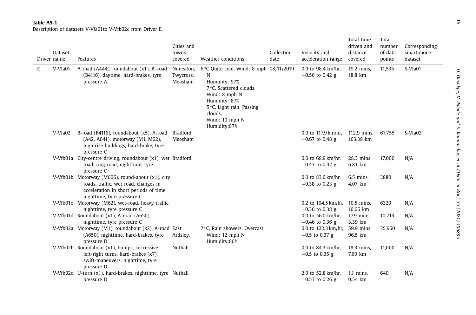| Driver name | Dataset | Features                                                                                                                                                         | Cities and<br>towns<br>covered    | Weather conditions                                                                                                                                                                                            | Collection<br>date | Velocity and<br>acceleration range                    | Total time<br>driven and<br>distance<br>covered | Total<br>number<br>of data<br>points | Corresponding<br>smartphone<br>dataset |
|-------------|---------|------------------------------------------------------------------------------------------------------------------------------------------------------------------|-----------------------------------|---------------------------------------------------------------------------------------------------------------------------------------------------------------------------------------------------------------|--------------------|-------------------------------------------------------|-------------------------------------------------|--------------------------------------|----------------------------------------|
| E           | V-Vfa01 | A-road (A444), roundabout (x1), B-road<br>(B4116), daytime, hard-brakes, tyre<br>pressure A                                                                      | Nuneaton,<br>Twycross,<br>Measham | 6 °C Quite cool. Wind: 8 mph 08/11/2019<br>N<br>Humidity: 97%<br>7 °C, Scattered clouds.<br>Wind: 8 mph N<br>Humidity: 87%<br>$5^{\circ}$ C, Light rain. Passing<br>clouds.<br>Wind: 10 mph N<br>Humidity:87% |                    | 0.0 to $98.4 \,\mathrm{km/hr}$ ,<br>$-0.56$ to 0.42 g | 19.2 mins,<br>18.8 km                           | 11,535                               | S-Vfa01                                |
|             | V-Vfa02 | B-road (B4116), roundabout (x5), A-road<br>(A42, A641), motorway (M1, M62),<br>high rise buildings, hard-brake, tyre<br>pressure C                               | Bradford,<br>Measham              |                                                                                                                                                                                                               |                    | 0.0 to 117.9 km/hr,<br>$-0.67$ to 0.48 g              | 112.9 mins,<br>163.38 km                        | 67,755                               | S-Vfa02                                |
|             |         | V-Vfb01a City-centre driving, roundabout (x1), wet Bradford<br>road, ring-road, nighttime, tyre<br>pressure C                                                    |                                   |                                                                                                                                                                                                               |                    | 0.0 to $68.9 \,\mathrm{km/hr}$ ,<br>$-0.43$ to 0.42 g | 28.3 mins,<br>6.81 km                           | 17,000                               | N/A                                    |
|             |         | V-Vfb01b Motorway (M606), round-about (x1), city<br>roads, traffic, wet road, changes in<br>acceleration in short periods of time,<br>nighttime, tyre pressure C |                                   |                                                                                                                                                                                                               |                    | 0.0 to 83.0 km/hr,<br>$-0.38$ to 0.23 g               | 6.5 mins,<br>4.07 km                            | 3880                                 | N/A                                    |
|             |         | V-Vfb01c Motorway (M62), wet-road, heavy traffic,<br>nighttime, tyre pressure C                                                                                  |                                   |                                                                                                                                                                                                               |                    | 0.2 to 104.5 km/hr,<br>$-0.36$ to 0.38 g              | 10.5 mins,<br>10.66 km                          | 6320                                 | N/A                                    |
|             |         | V-Vfb01d Roundabout (x1), A-road (A650),<br>nighttime, tyre pressure C                                                                                           |                                   |                                                                                                                                                                                                               |                    | 0.0 to $56.0 \,\mathrm{km/hr}$ ,<br>$-0.46$ to 0.36 g | 17.9 mins,<br>3.39 km                           | 10,713                               | N/A                                    |
|             |         | V-Vfb02a Motorway (M1), roundabout (x2), A-road East<br>(A650), nighttime, hard-brakes, tyre<br>pressure D                                                       | Ardsley,                          | 7 °C. Rain showers. Overcast.<br>Wind: 12 mph N<br>Humidity:86%                                                                                                                                               |                    | 0.0 to 122.3 km/hr,<br>$-0.5$ to 0.37 g               | 59.9 mins,<br>96.5 km                           | 35,960                               | N/A                                    |
|             |         | V-Vfb02b Roundabout (x1), bumps, successive<br>left-right turns, hard-brakes (x7),<br>swift-maneuvers, nighttime, tyre<br>pressure D                             | Nuthall                           |                                                                                                                                                                                                               |                    | 0.0 to 84.3 km/hr,<br>$-0.5$ to 0.35 g                | 18.3 mins,<br>7.69 km                           | 11,000                               | N/A                                    |
|             |         | V-Vfb02c U-turn (x1), hard-brakes, nighttime, tyre Nuthall<br>pressure D                                                                                         |                                   |                                                                                                                                                                                                               |                    | 2.0 to 52.8 km/hr,<br>$-0.53$ to 0.26 g               | $1.1$ mins,<br>0.54 km                          | 640                                  | N/A                                    |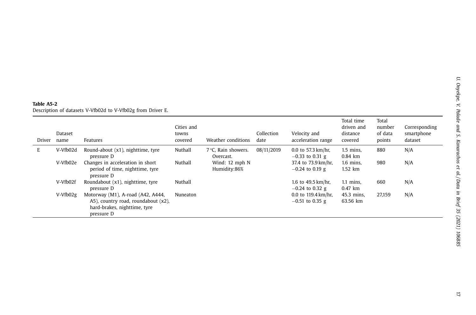# <span id="page-17-0"></span>**Table A5-2**Description of datasets V-Vfb02d to V-Vfb02g from Driver E.

| Driver | Dataset<br>name | Features                                                                                                               | Cities and<br>towns<br>covered | Weather conditions               | Collection<br>date | Velocity and<br>acceleration range                    | Total time<br>driven and<br>distance<br>covered | Total<br>number<br>of data<br>points | Corresponding<br>smartphone<br>dataset |
|--------|-----------------|------------------------------------------------------------------------------------------------------------------------|--------------------------------|----------------------------------|--------------------|-------------------------------------------------------|-------------------------------------------------|--------------------------------------|----------------------------------------|
| E      | V-Vfb02d        | Round-about (x1), nighttime, tyre<br>pressure D                                                                        | Nuthall                        | 7 °C. Rain showers.<br>Overcast. | 08/11/2019         | $0.0$ to 57.3 km/hr.<br>$-0.33$ to 0.31 g             | $1.5$ mins.<br>$0.84$ km                        | 880                                  | N/A                                    |
|        | V-Vfb02e        | Changes in acceleration in short<br>period of time, nighttime, tyre<br>pressure D                                      | Nuthall                        | Wind: 12 mph N<br>Humidity:86%   |                    | 37.4 to 73.9 km/hr,<br>$-0.24$ to 0.19 g              | $1.6$ mins.<br>1.52 km                          | 980                                  | N/A                                    |
|        | V-Vfb02f        | Roundabout (x1), nighttime, tyre<br>pressure D                                                                         | Nuthall                        |                                  |                    | 1.6 to $49.5 \,\mathrm{km/hr}$ ,<br>$-0.24$ to 0.32 g | $1.1$ mins,<br>0.47 km                          | 660                                  | N/A                                    |
|        | V-Vfb02g        | Motorway (M1), A-road (A42, A444,<br>A5), country road, roundabout (x2),<br>hard-brakes, nighttime, tyre<br>pressure D | Nuneaton                       |                                  |                    | 0.0 to $119.4 \text{ km/hr}$ ,<br>$-0.51$ to 0.35 g   | 45.3 mins.<br>63.56 km                          | 27,159                               | N/A                                    |